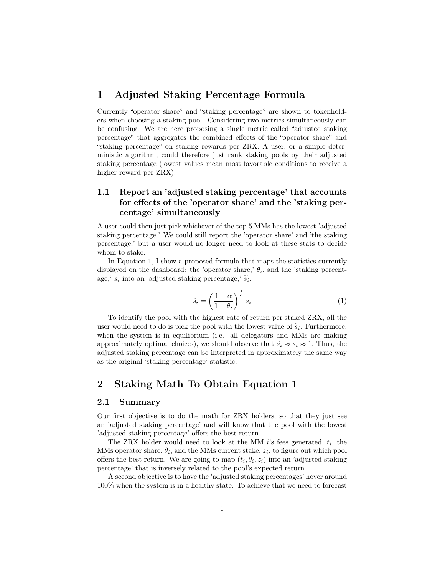# 1 Adjusted Staking Percentage Formula

Currently "operator share" and "staking percentage" are shown to tokenholders when choosing a staking pool. Considering two metrics simultaneously can be confusing. We are here proposing a single metric called "adjusted staking percentage" that aggregates the combined effects of the "operator share" and "staking percentage" on staking rewards per ZRX. A user, or a simple deterministic algorithm, could therefore just rank staking pools by their adjusted staking percentage (lowest values mean most favorable conditions to receive a higher reward per ZRX).

# 1.1 Report an 'adjusted staking percentage' that accounts for effects of the 'operator share' and the 'staking percentage' simultaneously

A user could then just pick whichever of the top 5 MMs has the lowest 'adjusted staking percentage.' We could still report the 'operator share' and 'the staking percentage,' but a user would no longer need to look at these stats to decide whom to stake.

In Equation 1, I show a proposed formula that maps the statistics currently displayed on the dashboard: the 'operator share,'  $\theta_i$ , and the 'staking percentage,'  $s_i$  into an 'adjusted staking percentage,'  $\tilde{s}_i$ .

$$
\widetilde{s}_i = \left(\frac{1-\alpha}{1-\theta_i}\right)^{\frac{1}{\alpha}} s_i \tag{1}
$$

To identify the pool with the highest rate of return per staked ZRX, all the user would need to do is pick the pool with the lowest value of  $\tilde{s}_i$ . Furthermore, when the system is in equilibrium (i.e. all delegators and MMs are making approximately optimal choices), we should observe that  $\tilde{s}_i \approx s_i \approx 1$ . Thus, the adjusted staking percentage can be interpreted in approximately the same way as the original 'staking percentage' statistic.

# 2 Staking Math To Obtain Equation 1

#### 2.1 Summary

Our first objective is to do the math for ZRX holders, so that they just see an 'adjusted staking percentage' and will know that the pool with the lowest 'adjusted staking percentage' offers the best return.

The ZRX holder would need to look at the MM *i*'s fees generated, *ti*, the MMs operator share,  $\theta_i$ , and the MMs current stake,  $z_i$ , to figure out which pool offers the best return. We are going to map  $(t_i, \theta_i, z_i)$  into an 'adjusted staking percentage' that is inversely related to the pool's expected return.

A second objective is to have the 'adjusted staking percentages' hover around 100% when the system is in a healthy state. To achieve that we need to forecast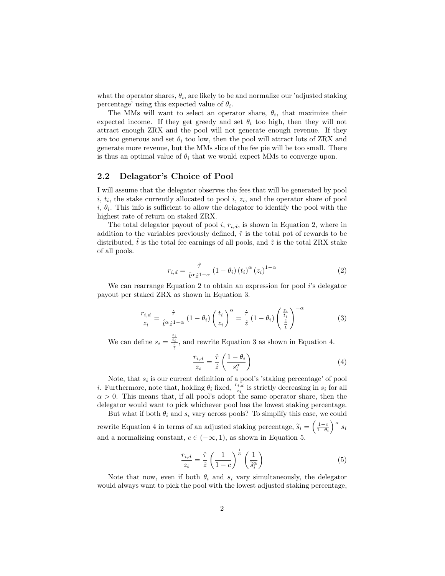what the operator shares,  $\theta_i$ , are likely to be and normalize our 'adjusted staking percentage' using this expected value of  $\theta_i$ .

The MMs will want to select an operator share,  $\theta_i$ , that maximize their expected income. If they get greedy and set  $\theta_i$  too high, then they will not attract enough ZRX and the pool will not generate enough revenue. If they are too generous and set  $\theta_i$  too low, then the pool will attract lots of ZRX and generate more revenue, but the MMs slice of the fee pie will be too small. There is thus an optimal value of  $\theta_i$  that we would expect MMs to converge upon.

## 2.2 Delagator's Choice of Pool

I will assume that the delegator observes the fees that will be generated by pool  $i, t_i$ , the stake currently allocated to pool  $i, z_i$ , and the operator share of pool  $i, \theta_i$ . This info is sufficient to allow the delagator to identify the pool with the highest rate of return on staked ZRX.

The total delegator payout of pool  $i, r_{i,d}$ , is shown in Equation 2, where in addition to the variables previously defined,  $\hat{\tau}$  is the total pot of rewards to be distributed,  $\hat{t}$  is the total fee earnings of all pools, and  $\hat{z}$  is the total ZRX stake of all pools.

$$
r_{i,d} = \frac{\hat{\tau}}{\hat{t}^{\alpha} \hat{z}^{1-\alpha}} \left(1 - \theta_i\right) \left(t_i\right)^{\alpha} \left(z_i\right)^{1-\alpha} \tag{2}
$$

We can rearrange Equation 2 to obtain an expression for pool *i*'s delegator payout per staked ZRX as shown in Equation 3.

$$
\frac{r_{i,d}}{z_i} = \frac{\hat{\tau}}{\hat{t}^{\alpha} \hat{z}^{1-\alpha}} \left(1 - \theta_i\right) \left(\frac{t_i}{z_i}\right)^{\alpha} = \frac{\hat{\tau}}{\hat{z}} \left(1 - \theta_i\right) \left(\frac{\frac{z_i}{t_i}}{\frac{\hat{z}}{\hat{t}}}\right)^{-\alpha} \tag{3}
$$

We can define  $s_i = \frac{z_i}{\frac{z}{\hat{i}}}$ , and rewrite Equation 3 as shown in Equation 4.

$$
\frac{r_{i,d}}{z_i} = \frac{\hat{\tau}}{\hat{z}} \left( \frac{1 - \theta_i}{s_i^{\alpha}} \right)
$$
(4)

Note, that  $s_i$  is our current definition of a pool's 'staking percentage' of pool *i*. Furthermore, note that, holding  $\theta_i$  fixed,  $\frac{r_{i,d}}{z_i}$  is strictly decreasing in  $s_i$  for all  $\alpha > 0$ . This means that, if all pool's adopt the same operator share, then the delegator would want to pick whichever pool has the lowest staking percentage.

But what if both  $\theta_i$  and  $s_i$  vary across pools? To simplify this case, we could rewrite Equation 4 in terms of an adjusted staking percentage,  $\widetilde{s}_i = \left(\frac{1-c}{1-\theta_i}\right)$  $\int_0^{\frac{1}{\alpha}} s_i$ and a normalizing constant,  $c \in (-\infty, 1)$ , as shown in Equation 5.

$$
\frac{r_{i,d}}{z_i} = \frac{\hat{\tau}}{\hat{z}} \left( \frac{1}{1-c} \right)^{\frac{1}{\alpha}} \left( \frac{1}{\tilde{s}_i^{\alpha}} \right)
$$
(5)

Note that now, even if both  $\theta_i$  and  $s_i$  vary simultaneously, the delegator would always want to pick the pool with the lowest adjusted staking percentage,